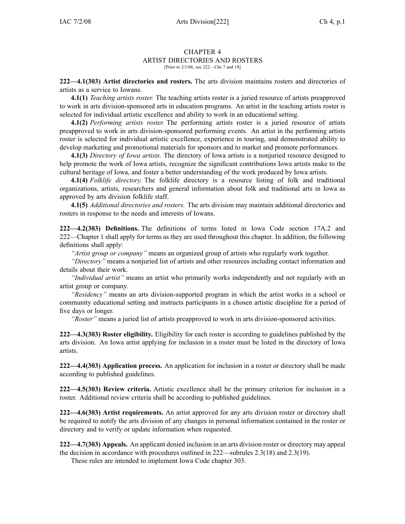## CHAPTER 4 ARTIST DIRECTORIES AND ROSTERS [Prior to 2/1/06, see 222—Chs 7 and 18]

**222—4.1(303) Artist directories and rosters.** The arts division maintains rosters and directories of artists as <sup>a</sup> service to Iowans.

**4.1(1)** *Teaching artists roster.* The teaching artists roster is <sup>a</sup> juried resource of artists preapproved to work in arts division-sponsored arts in education programs. An artist in the teaching artists roster is selected for individual artistic excellence and ability to work in an educational setting.

**4.1(2)** *Performing artists roster.* The performing artists roster is <sup>a</sup> juried resource of artists preapproved to work in arts division-sponsored performing events. An artist in the performing artists roster is selected for individual artistic excellence, experience in touring, and demonstrated ability to develop marketing and promotional materials for sponsors and to market and promote performances.

**4.1(3)** *Directory of Iowa artists.* The directory of Iowa artists is <sup>a</sup> nonjuried resource designed to help promote the work of Iowa artists, recognize the significant contributions Iowa artists make to the cultural heritage of Iowa, and foster <sup>a</sup> better understanding of the work produced by Iowa artists.

**4.1(4)** *Folklife directory.* The folklife directory is <sup>a</sup> resource listing of folk and traditional organizations, artists, researchers and general information about folk and traditional arts in Iowa as approved by arts division folklife staff.

**4.1(5)** *Additional directories and rosters.* The arts division may maintain additional directories and rosters in response to the needs and interests of Iowans.

**222—4.2(303) Definitions.** The definitions of terms listed in Iowa Code section 17A.2 and 222—Chapter 1 shall apply for terms as they are used throughout this chapter. In addition, the following definitions shall apply:

*"Artist group or company"* means an organized group of artists who regularly work together.

*"Directory"* means <sup>a</sup> nonjuried list of artists and other resources including contact information and details about their work.

*"Individual artist"* means an artist who primarily works independently and not regularly with an artist group or company.

*"Residency"* means an arts division-supported program in which the artist works in <sup>a</sup> school or community educational setting and instructs participants in <sup>a</sup> chosen artistic discipline for <sup>a</sup> period of five days or longer.

*"Roster"* means <sup>a</sup> juried list of artists preapproved to work in arts division-sponsored activities.

**222—4.3(303) Roster eligibility.** Eligibility for each roster is according to guidelines published by the arts division. An Iowa artist applying for inclusion in <sup>a</sup> roster must be listed in the directory of Iowa artists.

**222—4.4(303) Application process.** An application for inclusion in <sup>a</sup> roster or directory shall be made according to published guidelines.

**222—4.5(303) Review criteria.** Artistic excellence shall be the primary criterion for inclusion in <sup>a</sup> roster. Additional review criteria shall be according to published guidelines.

**222—4.6(303) Artist requirements.** An artist approved for any arts division roster or directory shall be required to notify the arts division of any changes in personal information contained in the roster or directory and to verify or update information when requested.

**222—4.7(303) Appeals.** An applicant denied inclusion in an arts division roster or directory may appeal the decision in accordance with procedures outlined in 222—subrules 2.3(18) and 2.3(19).

These rules are intended to implement Iowa Code chapter 303.